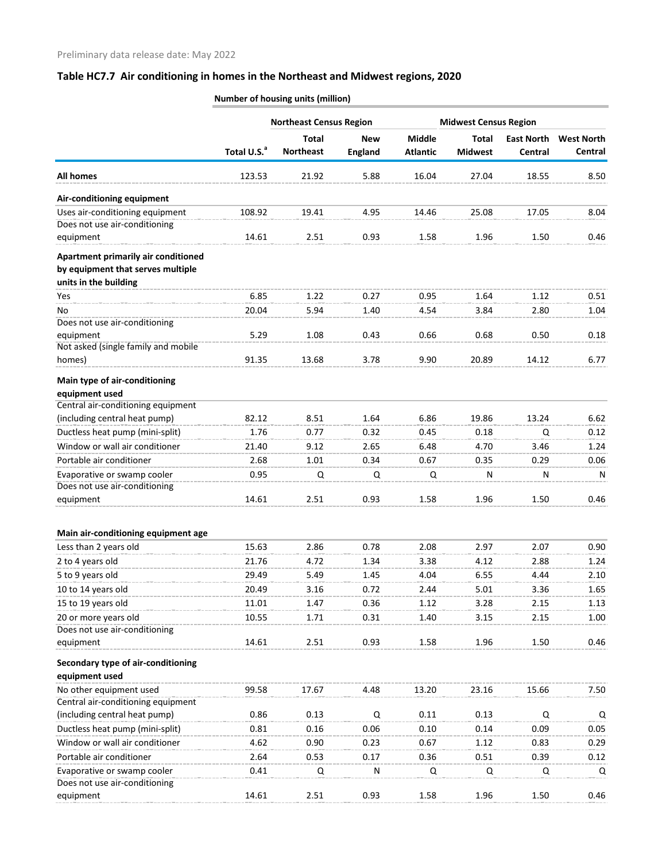|                                                                                                   |                         | <b>Northeast Census Region</b> |                |                 | <b>Midwest Census Region</b> |                   |                   |
|---------------------------------------------------------------------------------------------------|-------------------------|--------------------------------|----------------|-----------------|------------------------------|-------------------|-------------------|
|                                                                                                   |                         | <b>Total</b>                   | <b>New</b>     | <b>Middle</b>   | <b>Total</b>                 | <b>East North</b> | <b>West North</b> |
|                                                                                                   | Total U.S. <sup>a</sup> | <b>Northeast</b>               | <b>England</b> | <b>Atlantic</b> | <b>Midwest</b>               | Central           | Central           |
| <b>All homes</b>                                                                                  | 123.53                  | 21.92                          | 5.88           | 16.04           | 27.04                        | 18.55             | 8.50              |
| Air-conditioning equipment                                                                        |                         |                                |                |                 |                              |                   |                   |
| Uses air-conditioning equipment                                                                   | 108.92                  | 19.41                          | 4.95           | 14.46           | 25.08                        | 17.05             | 8.04              |
| Does not use air-conditioning                                                                     |                         |                                |                |                 |                              |                   |                   |
| equipment                                                                                         | 14.61                   | 2.51                           | 0.93           | 1.58            | 1.96                         | 1.50              | 0.46              |
| Apartment primarily air conditioned<br>by equipment that serves multiple<br>units in the building |                         |                                |                |                 |                              |                   |                   |
| <b>Yes</b>                                                                                        | 6.85                    | 1.22                           | 0.27           | 0.95            | 1.64                         | 1.12              | 0.51              |
| No                                                                                                | 20.04                   | 5.94                           | 1.40           | 4.54            | 3.84                         | 2.80              | 1.04              |
| Does not use air-conditioning                                                                     |                         |                                |                |                 |                              |                   |                   |
| equipment                                                                                         | 5.29                    | 1.08                           | 0.43           | 0.66            | 0.68                         | 0.50              | 0.18              |
| Not asked (single family and mobile                                                               |                         |                                |                |                 |                              |                   |                   |
| homes)                                                                                            | 91.35                   | 13.68                          | 3.78           | 9.90            | 20.89                        | 14.12             | 6.77              |
| Main type of air-conditioning<br>equipment used                                                   |                         |                                |                |                 |                              |                   |                   |
| Central air-conditioning equipment                                                                |                         |                                |                |                 |                              |                   |                   |
| (including central heat pump)                                                                     | 82.12                   | 8.51                           | 1.64           | 6.86            | 19.86                        | 13.24             | 6.62              |
| Ductless heat pump (mini-split)                                                                   | 1.76                    | 0.77                           | 0.32           | 0.45            | 0.18                         | Q                 | 0.12              |
| Window or wall air conditioner                                                                    | 21.40                   | 9.12                           | 2.65           | 6.48            | 4.70                         | 3.46              | 1.24              |
| Portable air conditioner                                                                          | 2.68                    | 1.01                           | 0.34           | 0.67            | 0.35                         | 0.29              | 0.06              |
| Evaporative or swamp cooler                                                                       | 0.95                    | Q                              | Q              | Q               | N                            | N                 | N                 |
| Does not use air-conditioning                                                                     |                         |                                |                |                 |                              |                   |                   |
| equipment                                                                                         | 14.61                   | 2.51                           | 0.93           | 1.58            | 1.96                         | 1.50              | 0.46              |
| Main air-conditioning equipment age                                                               |                         |                                |                |                 |                              |                   |                   |
| Less than 2 years old                                                                             | 15.63                   | 2.86                           | 0.78           | 2.08            | 2.97                         | 2.07              | 0.90              |
| 2 to 4 years old                                                                                  | 21.76                   | 4.72                           | 1.34           | 3.38            | 4.12                         | 2.88              | 1.24              |
| 5 to 9 years old                                                                                  | 29.49                   | 5.49                           | 1.45           | 4.04            | 6.55                         | 4.44              | 2.10              |
| 10 to 14 years old                                                                                | 20.49                   | 3.16                           | 0.72           | 2.44            | 5.01                         | 3.36              | 1.65              |
| 15 to 19 years old                                                                                | 11.01                   | 1.47                           | 0.36           | 1.12            | 3.28                         | 2.15              | 1.13              |
| 20 or more years old                                                                              | 10.55                   | 1.71                           | 0.31           | 1.40            | 3.15                         | 2.15              | 1.00              |
| Does not use air-conditioning                                                                     |                         |                                |                |                 |                              |                   |                   |
| equipment                                                                                         | 14.61                   | 2.51                           | 0.93           | 1.58            | 1.96                         | 1.50              | 0.46              |
| Secondary type of air-conditioning<br>equipment used                                              |                         |                                |                |                 |                              |                   |                   |
| No other equipment used                                                                           | 99.58                   | 17.67                          | 4.48           | 13.20           | 23.16                        | 15.66             | 7.50              |
| Central air-conditioning equipment                                                                |                         |                                |                |                 |                              |                   |                   |
| (including central heat pump)                                                                     | 0.86                    | 0.13                           | Q              | 0.11            | 0.13                         | Q                 | Q                 |
| Ductless heat pump (mini-split)                                                                   | 0.81                    | 0.16                           | 0.06           | 0.10            | 0.14                         | 0.09              | 0.05              |
| Window or wall air conditioner                                                                    | 4.62                    | 0.90                           | 0.23           | 0.67            | 1.12                         | 0.83              | 0.29              |
| Portable air conditioner                                                                          | 2.64                    | 0.53                           | 0.17           | 0.36            | 0.51                         | 0.39              | 0.12              |
| Evaporative or swamp cooler                                                                       | 0.41                    | Q                              | ${\sf N}$      | Q               | Q                            | Q                 | Q                 |
| Does not use air-conditioning                                                                     |                         |                                |                |                 |                              |                   |                   |
| equipment                                                                                         | 14.61                   | 2.51                           | 0.93           | 1.58            | 1.96                         | 1.50              | 0.46              |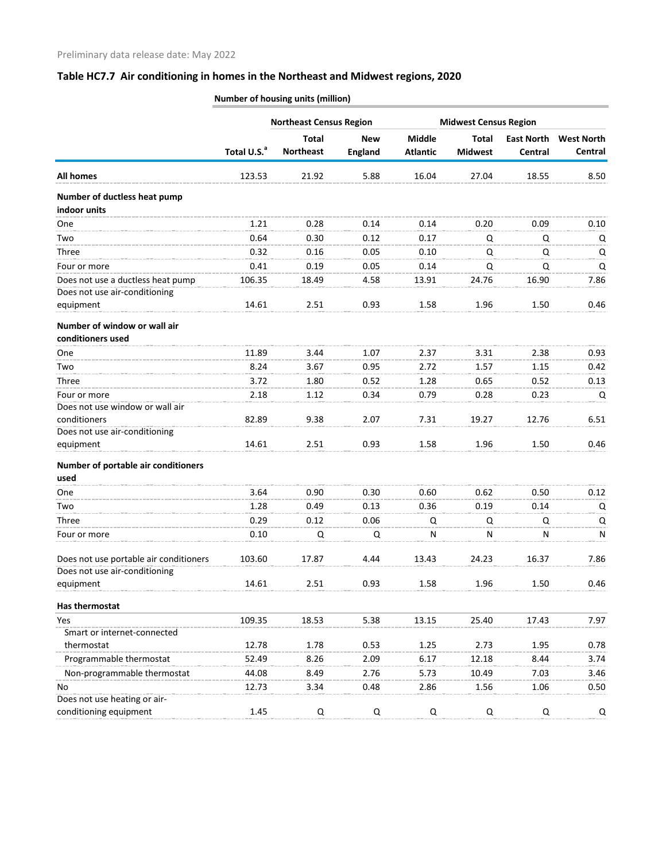|                                        |                         | <b>Northeast Census Region</b>   |                              |                                  | <b>Midwest Census Region</b>   |                              |                              |
|----------------------------------------|-------------------------|----------------------------------|------------------------------|----------------------------------|--------------------------------|------------------------------|------------------------------|
|                                        | Total U.S. <sup>a</sup> | <b>Total</b><br><b>Northeast</b> | <b>New</b><br><b>England</b> | <b>Middle</b><br><b>Atlantic</b> | <b>Total</b><br><b>Midwest</b> | <b>East North</b><br>Central | <b>West North</b><br>Central |
| <b>All homes</b>                       | 123.53                  | 21.92                            | 5.88                         | 16.04                            | 27.04                          | 18.55                        | 8.50                         |
| Number of ductless heat pump           |                         |                                  |                              |                                  |                                |                              |                              |
| indoor units                           |                         |                                  |                              |                                  |                                |                              |                              |
| One                                    | 1.21                    | 0.28                             | 0.14                         | 0.14                             | 0.20                           | 0.09                         | 0.10                         |
| Two                                    | 0.64                    | 0.30                             | 0.12                         | 0.17                             | Q                              | Q                            | Q                            |
| <b>Three</b>                           | 0.32                    | 0.16                             | 0.05                         | 0.10                             | Q                              | Q                            | Q                            |
| Four or more                           | 0.41                    | 0.19                             | 0.05                         | 0.14                             | Q                              | Q                            | Q                            |
| Does not use a ductless heat pump      | 106.35                  | 18.49                            | 4.58                         | 13.91                            | 24.76                          | 16.90                        | 7.86                         |
| Does not use air-conditioning          |                         |                                  |                              |                                  |                                |                              |                              |
| equipment                              | 14.61                   | 2.51                             | 0.93                         | 1.58                             | 1.96                           | 1.50                         | 0.46                         |
| Number of window or wall air           |                         |                                  |                              |                                  |                                |                              |                              |
| conditioners used                      |                         |                                  |                              |                                  |                                |                              |                              |
| One                                    | 11.89                   | 3.44                             | 1.07                         | 2.37                             | 3.31                           | 2.38                         | 0.93                         |
| Two                                    | 8.24                    | 3.67                             | 0.95                         | 2.72                             | 1.57                           | 1.15                         | 0.42                         |
| Three                                  | 3.72                    | 1.80                             | 0.52                         | 1.28                             | 0.65                           | 0.52                         | 0.13                         |
| Four or more                           | 2.18                    | 1.12                             | 0.34                         | 0.79                             | 0.28                           | 0.23                         | Q                            |
| Does not use window or wall air        |                         |                                  |                              |                                  |                                |                              |                              |
| conditioners                           | 82.89                   | 9.38                             | 2.07                         | 7.31                             | 19.27                          | 12.76                        | 6.51                         |
| Does not use air-conditioning          |                         |                                  |                              |                                  |                                |                              |                              |
| equipment                              | 14.61                   | 2.51                             | 0.93                         | 1.58                             | 1.96                           | 1.50                         | 0.46                         |
| Number of portable air conditioners    |                         |                                  |                              |                                  |                                |                              |                              |
| used                                   |                         |                                  |                              |                                  |                                |                              |                              |
| One                                    | 3.64                    | 0.90                             | 0.30                         | 0.60                             | 0.62                           | 0.50                         | 0.12                         |
| Two                                    | 1.28                    | 0.49                             | 0.13                         | 0.36                             | 0.19                           | 0.14                         | Q                            |
| Three                                  | 0.29                    | 0.12                             | 0.06                         | Q                                | Q                              | Q                            | Q                            |
| Four or more                           | 0.10                    | Q                                | Q                            | N                                | N                              | N                            | N                            |
| Does not use portable air conditioners | 103.60                  | 17.87                            | 4.44                         | 13.43                            | 24.23                          | 16.37                        | 7.86                         |
| Does not use air-conditioning          |                         |                                  |                              |                                  |                                |                              |                              |
| equipment                              | 14.61                   | 2.51                             | 0.93                         | 1.58                             | 1.96                           | 1.50                         | 0.46                         |
| Has thermostat                         |                         |                                  |                              |                                  |                                |                              |                              |
| Yes                                    | 109.35                  | 18.53                            | 5.38                         | 13.15                            | 25.40                          | 17.43                        | 7.97                         |
| Smart or internet-connected            |                         |                                  |                              |                                  |                                |                              |                              |
| thermostat                             | 12.78                   | 1.78                             | 0.53                         | 1.25                             | 2.73                           | 1.95                         | 0.78                         |
| Programmable thermostat                | 52.49                   | 8.26                             | 2.09                         | 6.17                             | 12.18                          | 8.44                         | 3.74                         |
| Non-programmable thermostat            | 44.08                   | 8.49                             | 2.76                         | 5.73                             | 10.49                          | 7.03                         | 3.46                         |
| No.                                    | 12.73                   | 3.34                             | 0.48                         | 2.86                             | 1.56                           | 1.06                         | 0.50                         |
| Does not use heating or air-           |                         |                                  |                              |                                  |                                |                              |                              |
| conditioning equipment                 | 1.45                    | Q                                | Q                            | Q                                | Q                              | Q                            | Q                            |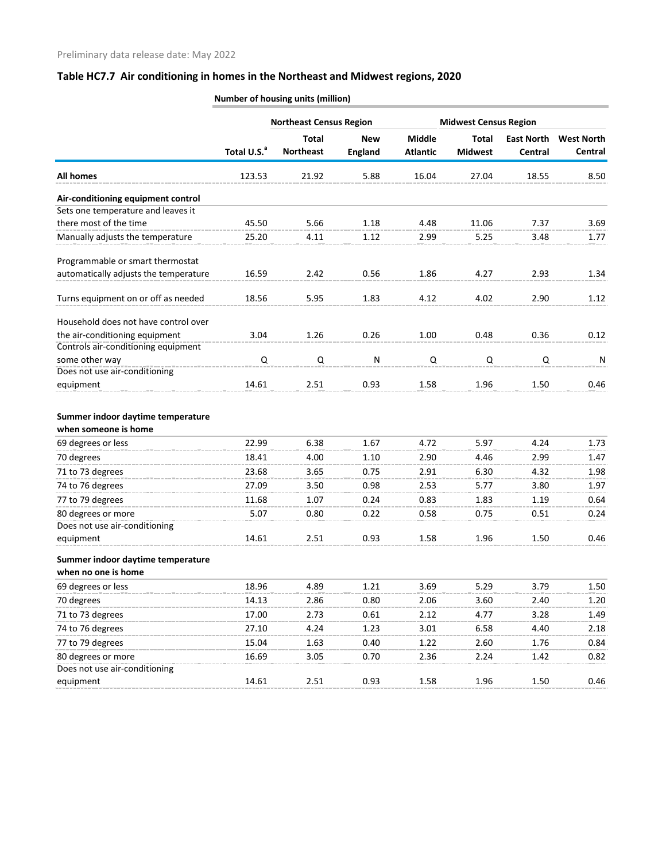|                                            |                         | <b>Northeast Census Region</b>   |                              |                                  | <b>Midwest Census Region</b>   |                              |                              |
|--------------------------------------------|-------------------------|----------------------------------|------------------------------|----------------------------------|--------------------------------|------------------------------|------------------------------|
|                                            | Total U.S. <sup>a</sup> | <b>Total</b><br><b>Northeast</b> | <b>New</b><br><b>England</b> | <b>Middle</b><br><b>Atlantic</b> | <b>Total</b><br><b>Midwest</b> | <b>East North</b><br>Central | <b>West North</b><br>Central |
| <b>All homes</b>                           | 123.53                  | 21.92                            | 5.88                         | 16.04                            | 27.04                          | 18.55                        | 8.50                         |
| Air-conditioning equipment control         |                         |                                  |                              |                                  |                                |                              |                              |
| Sets one temperature and leaves it         |                         |                                  |                              |                                  |                                |                              |                              |
| there most of the time                     | 45.50                   | 5.66                             | 1.18                         | 4.48                             | 11.06                          | 7.37                         | 3.69                         |
| Manually adjusts the temperature           | 25.20                   | 4.11                             | 1.12                         | 2.99                             | 5.25                           | 3.48                         | 1.77                         |
| Programmable or smart thermostat           |                         |                                  |                              |                                  |                                |                              |                              |
| automatically adjusts the temperature      | 16.59                   | 2.42                             | 0.56                         | 1.86                             | 4.27                           | 2.93                         | 1.34                         |
| Turns equipment on or off as needed        | 18.56                   | 5.95                             | 1.83                         | 4.12                             | 4.02                           | 2.90                         | 1.12                         |
| Household does not have control over       |                         |                                  |                              |                                  |                                |                              |                              |
| the air-conditioning equipment             | 3.04                    | 1.26                             | 0.26                         | 1.00                             | 0.48                           | 0.36                         | 0.12                         |
| Controls air-conditioning equipment        |                         |                                  |                              |                                  |                                |                              |                              |
| some other way                             | Q                       | Q                                | ${\sf N}$                    | Q                                | Q                              | Q                            | ${\sf N}$                    |
| Does not use air-conditioning<br>equipment | 14.61                   | 2.51                             | 0.93                         | 1.58                             | 1.96                           | 1.50                         | 0.46                         |
|                                            |                         |                                  |                              |                                  |                                |                              |                              |
| Summer indoor daytime temperature          |                         |                                  |                              |                                  |                                |                              |                              |
| when someone is home                       |                         |                                  |                              |                                  |                                |                              |                              |
| 69 degrees or less                         | 22.99                   | 6.38                             | 1.67                         | 4.72                             | 5.97                           | 4.24                         | 1.73                         |
| 70 degrees                                 | 18.41                   | 4.00                             | 1.10                         | 2.90                             | 4.46                           | 2.99                         | 1.47                         |
| 71 to 73 degrees                           | 23.68                   | 3.65                             | 0.75                         | 2.91                             | 6.30                           | 4.32                         | 1.98                         |
| 74 to 76 degrees                           | 27.09                   | 3.50                             | 0.98                         | 2.53                             | 5.77                           | 3.80                         | 1.97                         |
| 77 to 79 degrees                           | 11.68                   | 1.07                             | 0.24                         | 0.83                             | 1.83                           | 1.19                         | 0.64                         |
| 80 degrees or more                         | 5.07                    | 0.80                             | 0.22                         | 0.58                             | 0.75                           | 0.51                         | 0.24                         |
| Does not use air-conditioning              |                         |                                  |                              |                                  |                                |                              |                              |
| equipment                                  | 14.61                   | 2.51                             | 0.93                         | 1.58                             | 1.96                           | 1.50                         | 0.46                         |
| Summer indoor daytime temperature          |                         |                                  |                              |                                  |                                |                              |                              |
| when no one is home                        |                         |                                  |                              |                                  |                                |                              |                              |
| 69 degrees or less                         | 18.96                   | 4.89                             | 1.21                         | 3.69                             | 5.29                           | 3.79                         | 1.50                         |
| 70 degrees                                 | 14.13                   | 2.86                             | 0.80                         | 2.06                             | 3.60                           | 2.40                         | 1.20                         |
| 71 to 73 degrees                           | 17.00                   | 2.73                             | 0.61                         | 2.12                             | 4.77                           | 3.28                         | 1.49                         |
| 74 to 76 degrees                           | 27.10                   | 4.24                             | 1.23                         | 3.01                             | 6.58                           | 4.40                         | 2.18                         |
| 77 to 79 degrees                           | 15.04                   | 1.63                             | 0.40                         | 1.22                             | 2.60                           | 1.76                         | 0.84                         |
| 80 degrees or more                         | 16.69                   | 3.05                             | 0.70                         | 2.36                             | 2.24                           | 1.42                         | 0.82                         |
| Does not use air-conditioning              |                         |                                  |                              |                                  |                                |                              |                              |
| equipment                                  | 14.61                   | 2.51                             | 0.93                         | 1.58                             | 1.96                           | 1.50                         | 0.46                         |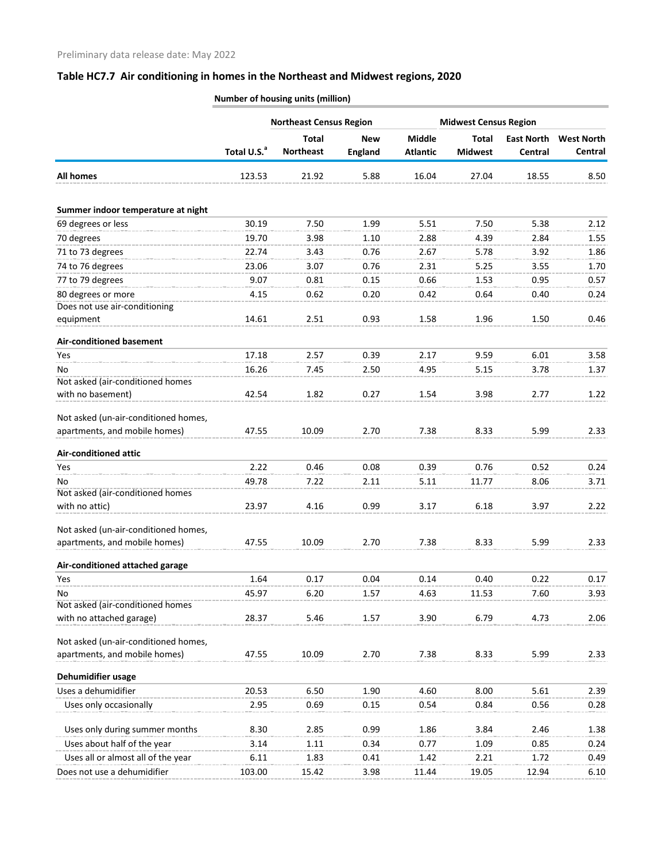|                                            |                         | <b>Northeast Census Region</b>   |                              |                           | <b>Midwest Census Region</b>   |                              |                              |
|--------------------------------------------|-------------------------|----------------------------------|------------------------------|---------------------------|--------------------------------|------------------------------|------------------------------|
|                                            | Total U.S. <sup>a</sup> | <b>Total</b><br><b>Northeast</b> | <b>New</b><br><b>England</b> | Middle<br><b>Atlantic</b> | <b>Total</b><br><b>Midwest</b> | <b>East North</b><br>Central | <b>West North</b><br>Central |
| <b>All homes</b>                           | 123.53                  | 21.92                            | 5.88                         | 16.04                     | 27.04                          | 18.55                        | 8.50                         |
| Summer indoor temperature at night         |                         |                                  |                              |                           |                                |                              |                              |
| 69 degrees or less                         | 30.19                   | 7.50                             | 1.99                         | 5.51                      | 7.50                           | 5.38                         | 2.12                         |
| 70 degrees                                 | 19.70                   | 3.98                             | 1.10                         | 2.88                      | 4.39                           | 2.84                         | 1.55                         |
| 71 to 73 degrees                           | 22.74                   | 3.43                             | 0.76                         | 2.67                      | 5.78                           | 3.92                         | 1.86                         |
| 74 to 76 degrees                           | 23.06                   | 3.07                             | 0.76                         | 2.31                      | 5.25                           | 3.55                         | 1.70                         |
| 77 to 79 degrees                           | 9.07                    | 0.81                             | 0.15                         | 0.66                      | 1.53                           | 0.95                         | 0.57                         |
| 80 degrees or more                         | 4.15                    | 0.62                             | 0.20                         | 0.42                      | 0.64                           | 0.40                         | 0.24                         |
| Does not use air-conditioning<br>equipment | 14.61                   | 2.51                             | 0.93                         | 1.58                      | 1.96                           | 1.50                         | 0.46                         |
| <b>Air-conditioned basement</b>            |                         |                                  |                              |                           |                                |                              |                              |
| Yes                                        | 17.18                   | 2.57                             | 0.39                         | 2.17                      | 9.59                           | 6.01                         | 3.58                         |
| No                                         | 16.26                   | 7.45                             | 2.50                         | 4.95                      | 5.15                           | 3.78                         | 1.37                         |
| Not asked (air-conditioned homes           |                         |                                  |                              |                           |                                |                              |                              |
| with no basement)                          | 42.54                   | 1.82                             | 0.27                         | 1.54                      | 3.98                           | 2.77                         | 1.22                         |
| Not asked (un-air-conditioned homes,       |                         |                                  |                              |                           |                                |                              |                              |
| apartments, and mobile homes)              | 47.55                   | 10.09                            | 2.70                         | 7.38                      | 8.33                           | 5.99                         | 2.33                         |
| <b>Air-conditioned attic</b>               |                         |                                  |                              |                           |                                |                              |                              |
| Yes                                        | 2.22                    | 0.46                             | 0.08                         | 0.39                      | 0.76                           | 0.52                         | 0.24                         |
| No                                         | 49.78                   | 7.22                             | 2.11                         | 5.11                      | 11.77                          | 8.06                         | 3.71                         |
| Not asked (air-conditioned homes           |                         |                                  |                              |                           |                                |                              |                              |
| with no attic)                             | 23.97                   | 4.16                             | 0.99                         | 3.17                      | 6.18                           | 3.97                         | 2.22                         |
| Not asked (un-air-conditioned homes,       |                         |                                  |                              |                           |                                |                              |                              |
| apartments, and mobile homes)              | 47.55                   | 10.09                            | 2.70                         | 7.38                      | 8.33                           | 5.99                         | 2.33                         |
| Air-conditioned attached garage            |                         |                                  |                              |                           |                                |                              |                              |
| Yes                                        | 1.64                    | 0.17                             | 0.04                         | 0.14                      | 0.40                           | 0.22                         | 0.17                         |
| No                                         | 45.97                   | 6.20                             | 1.57                         | 4.63                      | 11.53                          | 7.60                         | 3.93                         |
| Not asked (air-conditioned homes           |                         |                                  |                              |                           |                                |                              |                              |
| with no attached garage)                   | 28.37                   | 5.46                             | 1.57                         | 3.90                      | 6.79                           | 4.73                         | 2.06                         |
| Not asked (un-air-conditioned homes,       |                         |                                  |                              |                           |                                |                              |                              |
| apartments, and mobile homes)              | 47.55                   | 10.09                            | 2.70                         | 7.38                      | 8.33                           | 5.99                         | 2.33                         |
| Dehumidifier usage                         |                         |                                  |                              |                           |                                |                              |                              |
| Uses a dehumidifier                        | 20.53                   | 6.50                             | 1.90                         | 4.60                      | 8.00                           | 5.61                         | 2.39                         |
| Uses only occasionally                     | 2.95                    | 0.69                             | 0.15                         | 0.54                      | 0.84                           | 0.56                         | 0.28                         |
| Uses only during summer months             | 8.30                    | 2.85                             | 0.99                         | 1.86                      | 3.84                           | 2.46                         | 1.38                         |
| Uses about half of the year                | 3.14                    | 1.11                             | 0.34                         | 0.77                      | 1.09                           | 0.85                         | 0.24                         |
| Uses all or almost all of the year         | 6.11                    | 1.83                             | 0.41                         | 1.42                      | 2.21                           | 1.72                         | 0.49                         |
| Does not use a dehumidifier                | 103.00                  | 15.42                            | 3.98                         | 11.44                     | 19.05                          | 12.94                        | 6.10                         |
|                                            |                         |                                  |                              |                           |                                |                              |                              |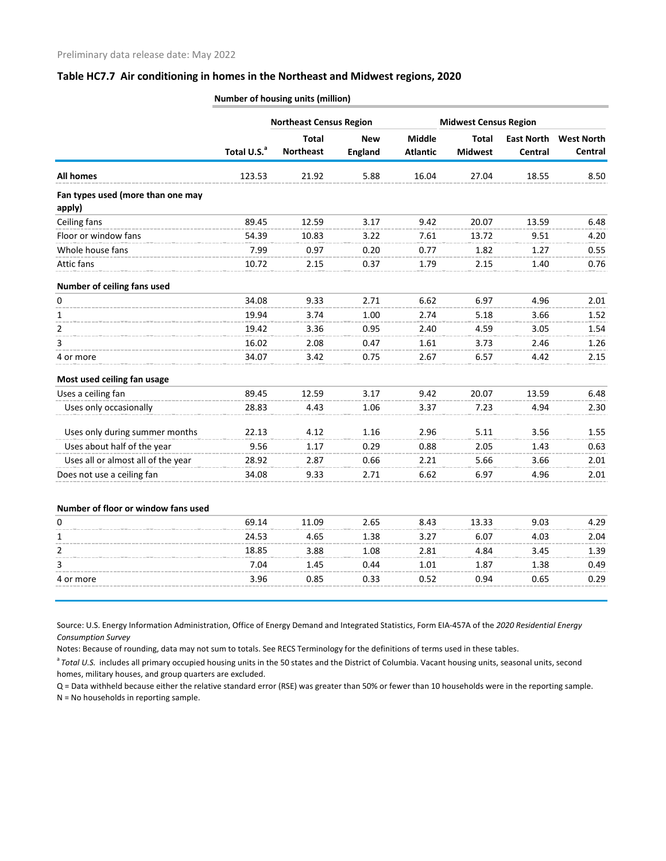|                                             |                         | <b>Northeast Census Region</b>   |                              |                                  | <b>Midwest Census Region</b>   |                              |                              |
|---------------------------------------------|-------------------------|----------------------------------|------------------------------|----------------------------------|--------------------------------|------------------------------|------------------------------|
|                                             | Total U.S. <sup>a</sup> | <b>Total</b><br><b>Northeast</b> | <b>New</b><br><b>England</b> | <b>Middle</b><br><b>Atlantic</b> | <b>Total</b><br><b>Midwest</b> | <b>East North</b><br>Central | <b>West North</b><br>Central |
| <b>All homes</b>                            | 123.53                  | 21.92                            | 5.88                         | 16.04                            | 27.04                          | 18.55                        | 8.50                         |
| Fan types used (more than one may<br>apply) |                         |                                  |                              |                                  |                                |                              |                              |
| Ceiling fans                                | 89.45                   | 12.59                            | 3.17                         | 9.42                             | 20.07                          | 13.59                        | 6.48                         |
| Floor or window fans                        | 54.39                   | 10.83                            | 3.22                         | 7.61                             | 13.72                          | 9.51                         | 4.20                         |
| Whole house fans                            | 7.99                    | 0.97                             | 0.20                         | 0.77                             | 1.82                           | 1.27                         | 0.55                         |
| Attic fans                                  | 10.72                   | 2.15                             | 0.37                         | 1.79                             | 2.15                           | 1.40                         | 0.76                         |
| Number of ceiling fans used                 |                         |                                  |                              |                                  |                                |                              |                              |
| 0                                           | 34.08                   | 9.33                             | 2.71                         | 6.62                             | 6.97                           | 4.96                         | 2.01                         |
| 1                                           | 19.94                   | 3.74                             | 1.00                         | 2.74                             | 5.18                           | 3.66                         | 1.52                         |
| $\overline{2}$                              | 19.42                   | 3.36                             | 0.95                         | 2.40                             | 4.59                           | 3.05                         | 1.54                         |
| 3                                           | 16.02                   | 2.08                             | 0.47                         | 1.61                             | 3.73                           | 2.46                         | 1.26                         |
| 4 or more                                   | 34.07                   | 3.42                             | 0.75                         | 2.67                             | 6.57                           | 4.42                         | 2.15                         |
| Most used ceiling fan usage                 |                         |                                  |                              |                                  |                                |                              |                              |
| Uses a ceiling fan                          | 89.45                   | 12.59                            | 3.17                         | 9.42                             | 20.07                          | 13.59                        | 6.48                         |
| Uses only occasionally                      | 28.83                   | 4.43                             | 1.06                         | 3.37                             | 7.23                           | 4.94                         | 2.30                         |
| Uses only during summer months              | 22.13                   | 4.12                             | 1.16                         | 2.96                             | 5.11                           | 3.56                         | 1.55                         |
| Uses about half of the year                 | 9.56                    | 1.17                             | 0.29                         | 0.88                             | 2.05                           | 1.43                         | 0.63                         |
| Uses all or almost all of the year          | 28.92                   | 2.87                             | 0.66                         | 2.21                             | 5.66                           | 3.66                         | 2.01                         |
| Does not use a ceiling fan                  | 34.08                   | 9.33                             | 2.71                         | 6.62                             | 6.97                           | 4.96                         | 2.01                         |
| Number of floor or window fans used         |                         |                                  |                              |                                  |                                |                              |                              |
| 0                                           | 69.14                   | 11.09                            | 2.65                         | 8.43                             | 13.33                          | 9.03                         | 4.29                         |
| 1                                           | 24.53                   | 4.65                             | 1.38                         | 3.27                             | 6.07                           | 4.03                         | 2.04                         |
| $\overline{2}$                              | 18.85                   | 3.88                             | 1.08                         | 2.81                             | 4.84                           | 3.45                         | 1.39                         |
| 3                                           | 7.04                    | 1.45                             | 0.44                         | 1.01                             | 1.87                           | 1.38                         | 0.49                         |
| 4 or more                                   | 3.96                    | 0.85                             | 0.33                         | 0.52                             | 0.94                           | 0.65                         | 0.29                         |
|                                             |                         |                                  |                              |                                  |                                |                              |                              |

**Number of housing units (million)**

Source: U.S. Energy Information Administration, Office of Energy Demand and Integrated Statistics, Form EIA-457A of the *2020 Residential Energy Consumption Survey*

Notes: Because of rounding, data may not sum to totals. See RECS Terminology for the definitions of terms used in these tables.

<sup>a</sup> Total U.S. includes all primary occupied housing units in the 50 states and the District of Columbia. Vacant housing units, seasonal units, second homes, military houses, and group quarters are excluded.

Q = Data withheld because either the relative standard error (RSE) was greater than 50% or fewer than 10 households were in the reporting sample. N = No households in reporting sample.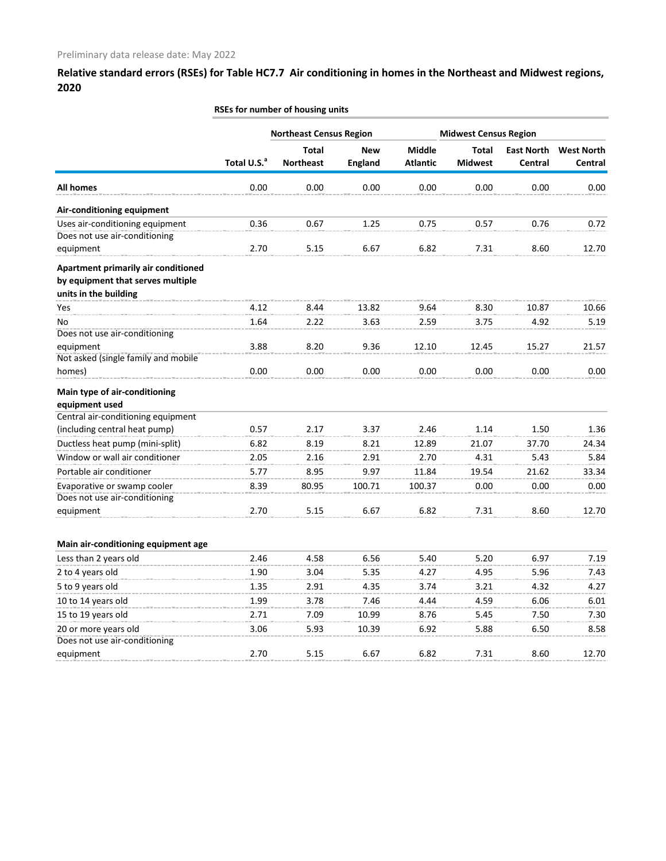|                                                                                                   |                         | <b>Northeast Census Region</b>   |                              |                                  | <b>Midwest Census Region</b>   |                              |                              |
|---------------------------------------------------------------------------------------------------|-------------------------|----------------------------------|------------------------------|----------------------------------|--------------------------------|------------------------------|------------------------------|
|                                                                                                   | Total U.S. <sup>a</sup> | <b>Total</b><br><b>Northeast</b> | <b>New</b><br><b>England</b> | <b>Middle</b><br><b>Atlantic</b> | <b>Total</b><br><b>Midwest</b> | <b>East North</b><br>Central | <b>West North</b><br>Central |
| <b>All homes</b>                                                                                  | 0.00                    | 0.00                             | 0.00                         | 0.00                             | 0.00                           | 0.00                         | 0.00                         |
| Air-conditioning equipment                                                                        |                         |                                  |                              |                                  |                                |                              |                              |
| Uses air-conditioning equipment                                                                   | 0.36                    | 0.67                             | 1.25                         | 0.75                             | 0.57                           | 0.76                         | 0.72                         |
| Does not use air-conditioning<br>equipment                                                        | 2.70                    | 5.15                             | 6.67                         | 6.82                             | 7.31                           | 8.60                         | 12.70                        |
| Apartment primarily air conditioned<br>by equipment that serves multiple<br>units in the building |                         |                                  |                              |                                  |                                |                              |                              |
| Yes                                                                                               | 4.12                    | 8.44                             | 13.82                        | 9.64                             | 8.30                           | 10.87                        | 10.66                        |
| No                                                                                                | 1.64                    | 2.22                             | 3.63                         | 2.59                             | 3.75                           | 4.92                         | 5.19                         |
| Does not use air-conditioning                                                                     |                         |                                  |                              |                                  |                                |                              |                              |
| equipment<br>Not asked (single family and mobile                                                  | 3.88                    | 8.20                             | 9.36                         | 12.10                            | 12.45                          | 15.27                        | 21.57                        |
| homes)                                                                                            | 0.00                    | 0.00                             | 0.00                         | 0.00                             | 0.00                           | 0.00                         | 0.00                         |
| Main type of air-conditioning<br>equipment used                                                   |                         |                                  |                              |                                  |                                |                              |                              |
| Central air-conditioning equipment                                                                |                         |                                  |                              |                                  |                                |                              |                              |
| (including central heat pump)                                                                     | 0.57                    | 2.17                             | 3.37                         | 2.46                             | 1.14                           | 1.50                         | 1.36                         |
| Ductless heat pump (mini-split)                                                                   | 6.82                    | 8.19                             | 8.21                         | 12.89                            | 21.07                          | 37.70                        | 24.34                        |
| Window or wall air conditioner                                                                    | 2.05                    | 2.16                             | 2.91                         | 2.70                             | 4.31                           | 5.43                         | 5.84                         |
| Portable air conditioner                                                                          | 5.77                    | 8.95                             | 9.97                         | 11.84                            | 19.54                          | 21.62                        | 33.34                        |
| Evaporative or swamp cooler                                                                       | 8.39                    | 80.95                            | 100.71                       | 100.37                           | 0.00                           | 0.00                         | 0.00                         |
| Does not use air-conditioning<br>equipment                                                        | 2.70                    | 5.15                             | 6.67                         | 6.82                             | 7.31                           | 8.60                         | 12.70                        |
| Main air-conditioning equipment age                                                               |                         |                                  |                              |                                  |                                |                              |                              |
| Less than 2 years old                                                                             | 2.46                    | 4.58                             | 6.56                         | 5.40                             | 5.20                           | 6.97                         | 7.19                         |
| 2 to 4 years old                                                                                  | 1.90                    | 3.04                             | 5.35                         | 4.27                             | 4.95                           | 5.96                         | 7.43                         |
| 5 to 9 years old                                                                                  | 1.35                    | 2.91                             | 4.35                         | 3.74                             | 3.21                           | 4.32                         | 4.27                         |
| 10 to 14 years old                                                                                | 1.99                    | 3.78                             | 7.46                         | 4.44                             | 4.59                           | 6.06                         | 6.01                         |
| 15 to 19 years old                                                                                | 2.71                    | 7.09                             | 10.99                        | 8.76                             | 5.45                           | 7.50                         | 7.30                         |
| 20 or more years old                                                                              | 3.06                    | 5.93                             | 10.39                        | 6.92                             | 5.88                           | 6.50                         | 8.58                         |
| Does not use air-conditioning                                                                     |                         |                                  |                              |                                  |                                |                              |                              |
| equipment                                                                                         | 2.70                    | 5.15                             | 6.67                         | 6.82                             | 7.31                           | 8.60                         | 12.70                        |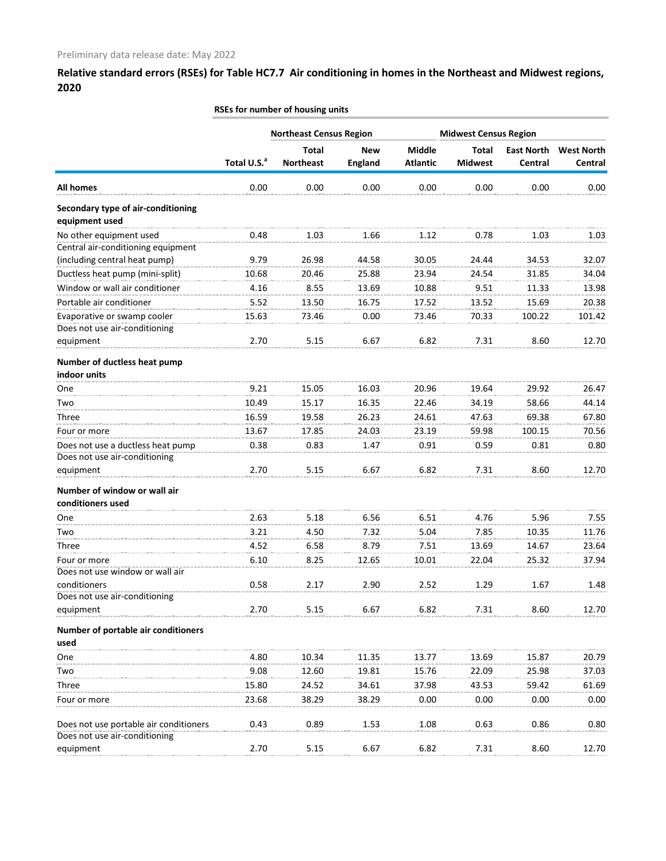|                                                                         |                         | <b>Northeast Census Region</b>   |                              |                                  | <b>Midwest Census Region</b>   |                              |                              |
|-------------------------------------------------------------------------|-------------------------|----------------------------------|------------------------------|----------------------------------|--------------------------------|------------------------------|------------------------------|
|                                                                         | Total U.S. <sup>a</sup> | <b>Total</b><br><b>Northeast</b> | <b>New</b><br><b>England</b> | <b>Middle</b><br><b>Atlantic</b> | <b>Total</b><br><b>Midwest</b> | <b>East North</b><br>Central | <b>West North</b><br>Central |
| <b>All homes</b>                                                        | 0.00                    | 0.00                             | 0.00                         | 0.00                             | 0.00                           | 0.00                         | 0.00                         |
| Secondary type of air-conditioning                                      |                         |                                  |                              |                                  |                                |                              |                              |
| equipment used                                                          |                         |                                  |                              |                                  |                                |                              |                              |
| No other equipment used                                                 | 0.48                    | 1.03                             | 1.66                         | 1.12                             | 0.78                           | 1.03                         | 1.03                         |
| Central air-conditioning equipment                                      |                         |                                  |                              |                                  |                                |                              |                              |
| (including central heat pump)                                           | 9.79                    | 26.98                            | 44.58                        | 30.05                            | 24.44                          | 34.53                        | 32.07                        |
| Ductless heat pump (mini-split)                                         | 10.68                   | 20.46                            | 25.88                        | 23.94                            | 24.54                          | 31.85                        | 34.04                        |
| Window or wall air conditioner                                          | 4.16                    | 8.55                             | 13.69                        | 10.88                            | 9.51                           | 11.33                        | 13.98                        |
| Portable air conditioner                                                | 5.52                    | 13.50                            | 16.75                        | 17.52                            | 13.52                          | 15.69                        | 20.38                        |
| Evaporative or swamp cooler                                             | 15.63                   | 73.46                            | 0.00                         | 73.46                            | 70.33                          | 100.22                       | 101.42                       |
| Does not use air-conditioning                                           |                         |                                  |                              |                                  |                                |                              |                              |
| equipment                                                               | 2.70                    | 5.15                             | 6.67                         | 6.82                             | 7.31                           | 8.60                         | 12.70                        |
| Number of ductless heat pump<br>indoor units                            |                         |                                  |                              |                                  |                                |                              |                              |
| One                                                                     | 9.21                    | 15.05                            | 16.03                        | 20.96                            | 19.64                          | 29.92                        | 26.47                        |
| Two                                                                     | 10.49                   | 15.17                            | 16.35                        | 22.46                            | 34.19                          | 58.66                        | 44.14                        |
| Three                                                                   | 16.59                   | 19.58                            | 26.23                        | 24.61                            | 47.63                          | 69.38                        | 67.80                        |
|                                                                         | 13.67                   | 17.85                            | 24.03                        | 23.19                            | 59.98                          | 100.15                       | 70.56                        |
| Four or more                                                            |                         |                                  |                              |                                  |                                |                              |                              |
| Does not use a ductless heat pump<br>Does not use air-conditioning      | 0.38                    | 0.83                             | 1.47                         | 0.91                             | 0.59                           | 0.81                         | 0.80                         |
| equipment                                                               | 2.70                    | 5.15                             | 6.67                         | 6.82                             | 7.31                           | 8.60                         | 12.70                        |
|                                                                         |                         |                                  |                              |                                  |                                |                              |                              |
| Number of window or wall air<br>conditioners used                       |                         |                                  |                              |                                  |                                |                              |                              |
|                                                                         |                         |                                  |                              |                                  |                                |                              |                              |
| One                                                                     | 2.63                    | 5.18                             | 6.56                         | 6.51                             | 4.76                           | 5.96                         | 7.55                         |
| Two                                                                     | 3.21                    | 4.50                             | 7.32                         | 5.04                             | 7.85                           | 10.35                        | 11.76                        |
| Three                                                                   | 4.52                    | 6.58                             | 8.79                         | 7.51                             | 13.69                          | 14.67                        | 23.64                        |
| Four or more                                                            | 6.10                    | 8.25                             | 12.65                        | 10.01                            | 22.04                          | 25.32                        | 37.94                        |
| Does not use window or wall air                                         |                         |                                  |                              |                                  |                                |                              |                              |
| conditioners                                                            | 0.58                    | 2.17                             | 2.90                         | 2.52                             | 1.29                           | 1.67                         | 1.48                         |
| Does not use air-conditioning<br>equipment                              | 2.70                    | 5.15                             | 6.67                         | 6.82                             | 7.31                           | 8.60                         | 12.70                        |
|                                                                         |                         |                                  |                              |                                  |                                |                              |                              |
| Number of portable air conditioners<br>used                             |                         |                                  |                              |                                  |                                |                              |                              |
|                                                                         | 4.80                    | 10.34                            | 11.35                        | 13.77                            | 13.69                          | 15.87                        | 20.79                        |
| One                                                                     |                         |                                  |                              |                                  |                                |                              |                              |
| Two                                                                     | 9.08                    | 12.60                            | 19.81                        | 15.76                            | 22.09                          | 25.98                        | 37.03                        |
| Three                                                                   | 15.80                   | 24.52                            | 34.61                        | 37.98                            | 43.53                          | 59.42                        | 61.69                        |
| Four or more                                                            | 23.68                   | 38.29                            | 38.29                        | 0.00                             | 0.00                           | 0.00                         | 0.00                         |
| Does not use portable air conditioners<br>Does not use air-conditioning | 0.43                    | 0.89                             | 1.53                         | 1.08                             | 0.63                           | 0.86                         | 0.80                         |
| equipment                                                               | 2.70                    | 5.15                             | 6.67                         | 6.82                             | 7.31                           | 8.60                         | 12.70                        |
|                                                                         |                         |                                  |                              |                                  |                                |                              |                              |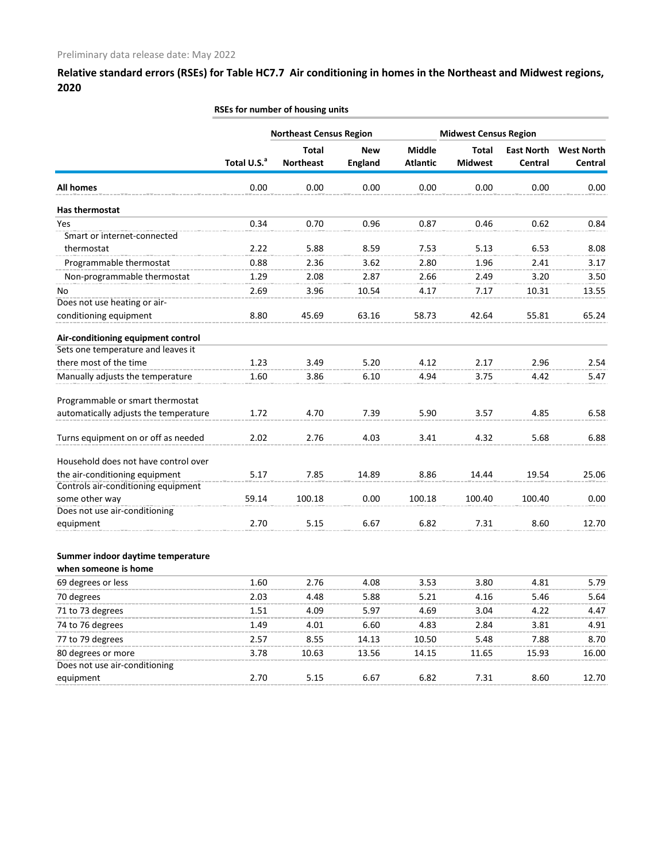|                                       |                         | <b>Northeast Census Region</b>   |                              |                                  | <b>Midwest Census Region</b>   |                              |                              |
|---------------------------------------|-------------------------|----------------------------------|------------------------------|----------------------------------|--------------------------------|------------------------------|------------------------------|
|                                       | Total U.S. <sup>a</sup> | <b>Total</b><br><b>Northeast</b> | <b>New</b><br><b>England</b> | <b>Middle</b><br><b>Atlantic</b> | <b>Total</b><br><b>Midwest</b> | <b>East North</b><br>Central | <b>West North</b><br>Central |
| <b>All homes</b>                      | 0.00                    | 0.00                             | 0.00                         | 0.00                             | 0.00                           | 0.00                         | 0.00                         |
| Has thermostat                        |                         |                                  |                              |                                  |                                |                              |                              |
| Yes                                   | 0.34                    | 0.70                             | 0.96                         | 0.87                             | 0.46                           | 0.62                         | 0.84                         |
| Smart or internet-connected           |                         |                                  |                              |                                  |                                |                              |                              |
| thermostat                            | 2.22                    | 5.88                             | 8.59                         | 7.53                             | 5.13                           | 6.53                         | 8.08                         |
| Programmable thermostat               | 0.88                    | 2.36                             | 3.62                         | 2.80                             | 1.96                           | 2.41                         | 3.17                         |
| Non-programmable thermostat           | 1.29                    | 2.08                             | 2.87                         | 2.66                             | 2.49                           | 3.20                         | 3.50                         |
| No.                                   | 2.69                    | 3.96                             | 10.54                        | 4.17                             | 7.17                           | 10.31                        | 13.55                        |
| Does not use heating or air-          |                         |                                  |                              |                                  |                                |                              |                              |
| conditioning equipment                | 8.80                    | 45.69                            | 63.16                        | 58.73                            | 42.64                          | 55.81                        | 65.24                        |
| Air-conditioning equipment control    |                         |                                  |                              |                                  |                                |                              |                              |
| Sets one temperature and leaves it    |                         |                                  |                              |                                  |                                |                              |                              |
| there most of the time                | 1.23                    | 3.49                             | 5.20                         | 4.12                             | 2.17                           | 2.96                         | 2.54                         |
| Manually adjusts the temperature      | 1.60                    | 3.86                             | 6.10                         | 4.94                             | 3.75                           | 4.42                         | 5.47                         |
| Programmable or smart thermostat      |                         |                                  |                              |                                  |                                |                              |                              |
| automatically adjusts the temperature | 1.72                    | 4.70                             | 7.39                         | 5.90                             | 3.57                           | 4.85                         | 6.58                         |
| Turns equipment on or off as needed   | 2.02                    | 2.76                             | 4.03                         | 3.41                             | 4.32                           | 5.68                         | 6.88                         |
| Household does not have control over  |                         |                                  |                              |                                  |                                |                              |                              |
| the air-conditioning equipment        | 5.17                    | 7.85                             | 14.89                        | 8.86                             | 14.44                          | 19.54                        | 25.06                        |
| Controls air-conditioning equipment   |                         |                                  |                              |                                  |                                |                              |                              |
| some other way                        | 59.14                   | 100.18                           | 0.00                         | 100.18                           | 100.40                         | 100.40                       | 0.00                         |
| Does not use air-conditioning         |                         |                                  |                              |                                  |                                |                              |                              |
| equipment                             | 2.70                    | 5.15                             | 6.67                         | 6.82                             | 7.31                           | 8.60                         | 12.70                        |
| Summer indoor daytime temperature     |                         |                                  |                              |                                  |                                |                              |                              |
| when someone is home                  |                         |                                  |                              |                                  |                                |                              |                              |
| 69 degrees or less                    | 1.60                    | 2.76                             | 4.08                         | 3.53                             | 3.80                           | 4.81                         | 5.79                         |
| 70 degrees                            | 2.03                    | 4.48                             | 5.88                         | 5.21                             | 4.16                           | 5.46                         | 5.64                         |
| 71 to 73 degrees                      | 1.51                    | 4.09                             | 5.97                         | 4.69                             | 3.04                           | 4.22                         | 4.47                         |
| 74 to 76 degrees                      | 1.49                    | 4.01                             | 6.60                         | 4.83                             | 2.84                           | 3.81                         | 4.91                         |
| 77 to 79 degrees                      | 2.57                    | 8.55                             | 14.13                        | 10.50                            | 5.48                           | 7.88                         | 8.70                         |
| 80 degrees or more                    | 3.78                    | 10.63                            | 13.56                        | 14.15                            | 11.65                          | 15.93                        | 16.00                        |
| Does not use air-conditioning         |                         |                                  |                              |                                  |                                |                              |                              |
| equipment                             | 2.70                    | 5.15                             | 6.67                         | 6.82                             | 7.31                           | 8.60                         | 12.70                        |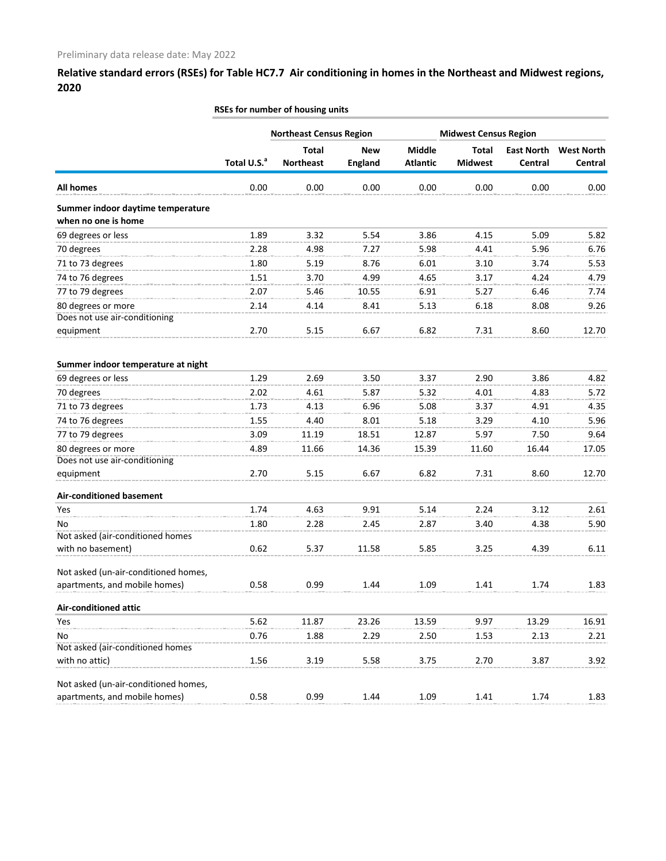|                                                          |                         | <b>Northeast Census Region</b>   |                              |                           | <b>Midwest Census Region</b>   |                              |                              |
|----------------------------------------------------------|-------------------------|----------------------------------|------------------------------|---------------------------|--------------------------------|------------------------------|------------------------------|
|                                                          | Total U.S. <sup>a</sup> | <b>Total</b><br><b>Northeast</b> | <b>New</b><br><b>England</b> | Middle<br><b>Atlantic</b> | <b>Total</b><br><b>Midwest</b> | <b>East North</b><br>Central | <b>West North</b><br>Central |
| <b>All homes</b>                                         | 0.00                    | 0.00                             | 0.00                         | 0.00                      | 0.00                           | 0.00                         | 0.00                         |
| Summer indoor daytime temperature<br>when no one is home |                         |                                  |                              |                           |                                |                              |                              |
| 69 degrees or less                                       | 1.89                    | 3.32                             | 5.54                         | 3.86                      | 4.15                           | 5.09                         | 5.82                         |
| 70 degrees                                               | 2.28                    | 4.98                             | 7.27                         | 5.98                      | 4.41                           | 5.96                         | 6.76                         |
| 71 to 73 degrees                                         | 1.80                    | 5.19                             | 8.76                         | 6.01                      | 3.10                           | 3.74                         | 5.53                         |
| 74 to 76 degrees                                         | 1.51                    | 3.70                             | 4.99                         | 4.65                      | 3.17                           | 4.24                         | 4.79                         |
| 77 to 79 degrees                                         | 2.07                    | 5.46                             | 10.55                        | 6.91                      | 5.27                           | 6.46                         | 7.74                         |
| 80 degrees or more                                       | 2.14                    | 4.14                             | 8.41                         | 5.13                      | 6.18                           | 8.08                         | 9.26                         |
| Does not use air-conditioning                            |                         |                                  |                              |                           |                                |                              |                              |
| equipment                                                | 2.70                    | 5.15                             | 6.67                         | 6.82                      | 7.31                           | 8.60                         | 12.70                        |
| Summer indoor temperature at night                       |                         |                                  |                              |                           |                                |                              |                              |
| 69 degrees or less                                       | 1.29                    | 2.69                             | 3.50                         | 3.37                      | 2.90                           | 3.86                         | 4.82                         |
| 70 degrees                                               | 2.02                    | 4.61                             | 5.87                         | 5.32                      | 4.01                           | 4.83                         | 5.72                         |
| 71 to 73 degrees                                         | 1.73                    | 4.13                             | 6.96                         | 5.08                      | 3.37                           | 4.91                         | 4.35                         |
| 74 to 76 degrees                                         | 1.55                    | 4.40                             | 8.01                         | 5.18                      | 3.29                           | 4.10                         | 5.96                         |
| 77 to 79 degrees                                         | 3.09                    | 11.19                            | 18.51                        | 12.87                     | 5.97                           | 7.50                         | 9.64                         |
| 80 degrees or more                                       | 4.89                    | 11.66                            | 14.36                        | 15.39                     | 11.60                          | 16.44                        | 17.05                        |
| Does not use air-conditioning                            |                         |                                  |                              |                           |                                |                              |                              |
| equipment                                                | 2.70                    | 5.15                             | 6.67                         | 6.82                      | 7.31                           | 8.60                         | 12.70                        |
| <b>Air-conditioned basement</b>                          |                         |                                  |                              |                           |                                |                              |                              |
| Yes                                                      | 1.74                    | 4.63                             | 9.91                         | 5.14                      | 2.24                           | 3.12                         | 2.61                         |
| No                                                       | 1.80                    | 2.28                             | 2.45                         | 2.87                      | 3.40                           | 4.38                         | 5.90                         |
| Not asked (air-conditioned homes                         |                         |                                  |                              |                           |                                |                              |                              |
| with no basement)                                        | 0.62                    | 5.37                             | 11.58                        | 5.85                      | 3.25                           | 4.39                         | 6.11                         |
| Not asked (un-air-conditioned homes,                     |                         |                                  |                              |                           |                                |                              |                              |
| apartments, and mobile homes)                            | 0.58                    | 0.99                             | 1.44                         | 1.09                      | 1.41                           | 1.74                         | 1.83                         |
| <b>Air-conditioned attic</b>                             |                         |                                  |                              |                           |                                |                              |                              |
| Yes                                                      | 5.62                    | 11.87                            | 23.26                        | 13.59                     | 9.97                           | 13.29                        | 16.91                        |
| No                                                       | 0.76                    | 1.88                             | 2.29                         | 2.50                      | 1.53                           | 2.13                         | 2.21                         |
| Not asked (air-conditioned homes                         |                         |                                  |                              |                           |                                |                              |                              |
| with no attic)                                           | 1.56                    | 3.19                             | 5.58                         | 3.75                      | 2.70                           | 3.87                         | 3.92                         |
| Not asked (un-air-conditioned homes,                     |                         |                                  |                              |                           |                                |                              |                              |
| apartments, and mobile homes)                            | 0.58                    | 0.99                             | 1.44                         | 1.09                      | 1.41                           | 1.74                         | 1.83                         |
|                                                          |                         |                                  |                              |                           |                                |                              |                              |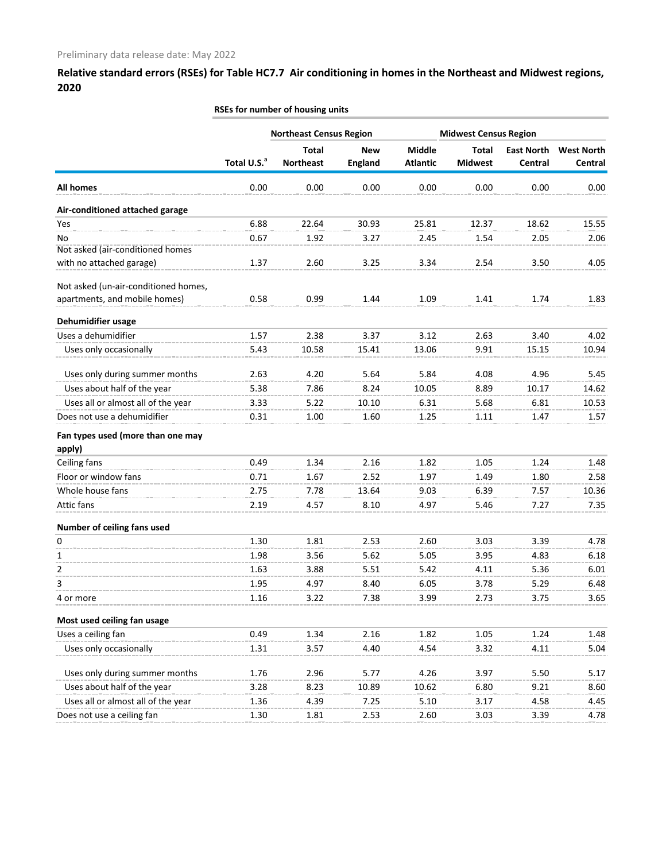|                                      |                         | RSEs for number of housing units |                |                 |                              |                   |                   |
|--------------------------------------|-------------------------|----------------------------------|----------------|-----------------|------------------------------|-------------------|-------------------|
|                                      |                         | <b>Northeast Census Region</b>   |                |                 | <b>Midwest Census Region</b> |                   |                   |
|                                      |                         | <b>Total</b>                     | <b>New</b>     | <b>Middle</b>   | <b>Total</b>                 | <b>East North</b> | <b>West North</b> |
|                                      | Total U.S. <sup>a</sup> | <b>Northeast</b>                 | <b>England</b> | <b>Atlantic</b> | <b>Midwest</b>               | Central           | Central           |
| <b>All homes</b>                     | 0.00                    | 0.00                             | 0.00           | 0.00            | 0.00                         | 0.00              | 0.00              |
| Air-conditioned attached garage      |                         |                                  |                |                 |                              |                   |                   |
| Yes                                  | 6.88                    | 22.64                            | 30.93          | 25.81           | 12.37                        | 18.62             | 15.55             |
| No                                   | 0.67                    | 1.92                             | 3.27           | 2.45            | 1.54                         | 2.05              | 2.06              |
| Not asked (air-conditioned homes     |                         |                                  |                |                 |                              |                   |                   |
| with no attached garage)             | 1.37                    | 2.60                             | 3.25           | 3.34            | 2.54                         | 3.50              | 4.05              |
| Not asked (un-air-conditioned homes, |                         |                                  |                |                 |                              |                   |                   |
| apartments, and mobile homes)        | 0.58                    | 0.99                             | 1.44           | 1.09            | 1.41                         | 1.74              | 1.83              |
| Dehumidifier usage                   |                         |                                  |                |                 |                              |                   |                   |
| Uses a dehumidifier                  | 1.57                    | 2.38                             | 3.37           | 3.12            | 2.63                         | 3.40              | 4.02              |
| Uses only occasionally               | 5.43                    | 10.58                            | 15.41          | 13.06           | 9.91                         | 15.15             | 10.94             |
| Uses only during summer months       | 2.63                    | 4.20                             | 5.64           | 5.84            | 4.08                         | 4.96              | 5.45              |
| Uses about half of the year          | 5.38                    | 7.86                             | 8.24           | 10.05           | 8.89                         | 10.17             | 14.62             |
| Uses all or almost all of the year   | 3.33                    | 5.22                             | 10.10          | 6.31            | 5.68                         | 6.81              | 10.53             |
| Does not use a dehumidifier          | 0.31                    | 1.00                             | 1.60           | 1.25            | 1.11                         | 1.47              | 1.57              |
| Fan types used (more than one may    |                         |                                  |                |                 |                              |                   |                   |
| apply)                               |                         |                                  |                |                 |                              |                   |                   |
| Ceiling fans                         | 0.49                    | 1.34                             | 2.16           | 1.82            | 1.05                         | 1.24              | 1.48              |
| Floor or window fans                 | 0.71                    | 1.67                             | 2.52           | 1.97            | 1.49                         | 1.80              | 2.58              |
| Whole house fans                     | 2.75                    | 7.78                             | 13.64          | 9.03            | 6.39                         | 7.57              | 10.36             |
| Attic fans                           | 2.19                    | 4.57                             | 8.10           | 4.97            | 5.46                         | 7.27              | 7.35              |
| Number of ceiling fans used          |                         |                                  |                |                 |                              |                   |                   |
| 0                                    | 1.30                    | 1.81                             | 253            | 2.60            | 3.03.                        | 3.39              | 4.78              |
| 1                                    | 1.98                    | 3.56                             | 5.62           | 5.05            | 3.95                         | 4.83              | 6.18              |
| 2                                    | 1.63                    | 3.88                             | 5.51           | 5.42            | 4.11                         | 5.36              | 6.01              |
| 3                                    | 1.95                    | 4.97                             | 8.40           | 6.05            | 3.78                         | 5.29              | 6.48              |
| 4 or more                            | 1.16                    | 3.22                             | 7.38           | 3.99            | 2.73                         | 3.75              | 3.65              |
| Most used ceiling fan usage          |                         |                                  |                |                 |                              |                   |                   |
| Uses a ceiling fan                   | 0.49                    | 1.34                             | 2.16           | 1.82            | 1.05                         | 1.24              | 1.48              |
| Uses only occasionally               | 1.31                    | 3.57                             | 4.40           | 4.54            | 3.32                         | 4.11              | 5.04              |
|                                      |                         |                                  |                |                 |                              |                   |                   |
| Uses only during summer months       | 1.76                    | 2.96                             | 5.77           | 4.26            | 3.97                         | 5.50              | 5.17              |
| Uses about half of the year          | 3.28                    | 8.23                             | 10.89          | 10.62           | 6.80                         | 9.21              | 8.60              |
| Uses all or almost all of the year   | 1.36                    | 4.39                             | 7.25           | 5.10            | 3.17                         | 4.58              | 4.45              |
| Does not use a ceiling fan           | 1.30                    | 1.81                             | 2.53           | 2.60            | 3.03                         | 3.39              | 4.78              |